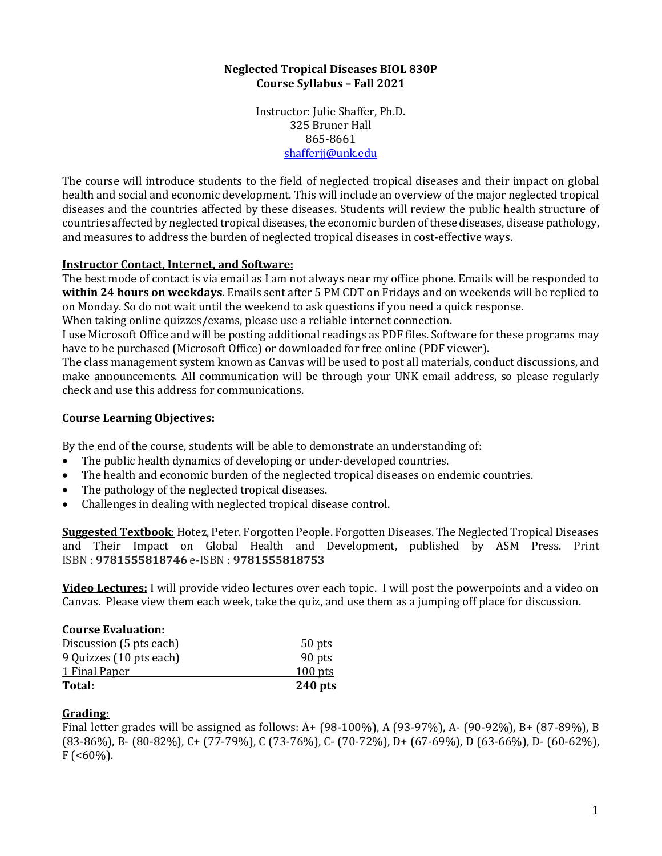### **Neglected Tropical Diseases BIOL 830P Course Syllabus – Fall 2021**

Instructor: Julie Shaffer, Ph.D. 325 Bruner Hall 865-8661 [shafferjj@unk.edu](mailto:shafferjj@unk.edu)

The course will introduce students to the field of neglected tropical diseases and their impact on global health and social and economic development. This will include an overview of the major neglected tropical diseases and the countries affected by these diseases. Students will review the public health structure of countries affected by neglected tropical diseases, the economic burden of these diseases, disease pathology, and measures to address the burden of neglected tropical diseases in cost-effective ways.

# **Instructor Contact, Internet, and Software:**

The best mode of contact is via email as I am not always near my office phone. Emails will be responded to **within 24 hours on weekdays**. Emails sent after 5 PM CDT on Fridays and on weekends will be replied to on Monday. So do not wait until the weekend to ask questions if you need a quick response.

When taking online quizzes/exams, please use a reliable internet connection.

I use Microsoft Office and will be posting additional readings as PDF files. Software for these programs may have to be purchased (Microsoft Office) or downloaded for free online (PDF viewer).

The class management system known as Canvas will be used to post all materials, conduct discussions, and make announcements. All communication will be through your UNK email address, so please regularly check and use this address for communications.

#### **Course Learning Objectives:**

By the end of the course, students will be able to demonstrate an understanding of:

- The public health dynamics of developing or under-developed countries.
- The health and economic burden of the neglected tropical diseases on endemic countries.
- The pathology of the neglected tropical diseases.
- Challenges in dealing with neglected tropical disease control.

**Suggested Textbook**: Hotez, Peter. Forgotten People. Forgotten Diseases. The Neglected Tropical Diseases and Their Impact on Global Health and Development, published by ASM Press. Print ISBN : **9781555818746** e-ISBN : **9781555818753**

**Video Lectures:** I will provide video lectures over each topic. I will post the powerpoints and a video on Canvas. Please view them each week, take the quiz, and use them as a jumping off place for discussion.

#### **Course Evaluation:**

| $240$ pts |
|-----------|
| $100$ pts |
| 90 pts    |
| 50 pts    |
|           |

# **Grading:**

Final letter grades will be assigned as follows: A+ (98-100%), A (93-97%), A- (90-92%), B+ (87-89%), B (83-86%), B- (80-82%), C+ (77-79%), C (73-76%), C- (70-72%), D+ (67-69%), D (63-66%), D- (60-62%),  $F$  (<60%).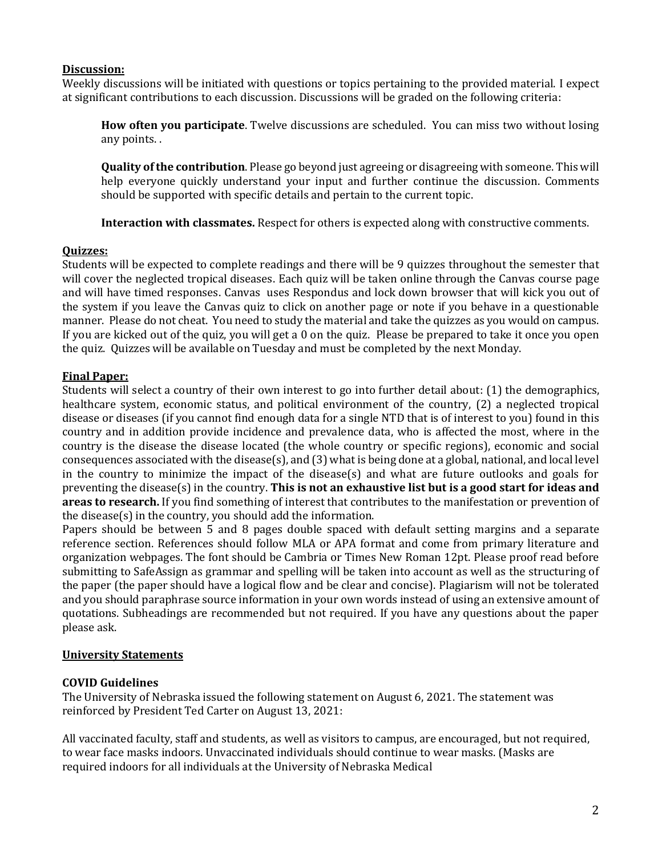# **Discussion:**

Weekly discussions will be initiated with questions or topics pertaining to the provided material. I expect at significant contributions to each discussion. Discussions will be graded on the following criteria:

**How often you participate**. Twelve discussions are scheduled. You can miss two without losing any points. .

**Quality of the contribution**. Please go beyond just agreeing or disagreeing with someone. This will help everyone quickly understand your input and further continue the discussion. Comments should be supported with specific details and pertain to the current topic.

**Interaction with classmates.** Respect for others is expected along with constructive comments.

### **Quizzes:**

Students will be expected to complete readings and there will be 9 quizzes throughout the semester that will cover the neglected tropical diseases. Each quiz will be taken online through the Canvas course page and will have timed responses. Canvas uses Respondus and lock down browser that will kick you out of the system if you leave the Canvas quiz to click on another page or note if you behave in a questionable manner. Please do not cheat. You need to study the material and take the quizzes as you would on campus. If you are kicked out of the quiz, you will get a 0 on the quiz. Please be prepared to take it once you open the quiz. Quizzes will be available on Tuesday and must be completed by the next Monday.

# **Final Paper:**

Students will select a country of their own interest to go into further detail about: (1) the demographics, healthcare system, economic status, and political environment of the country, (2) a neglected tropical disease or diseases (if you cannot find enough data for a single NTD that is of interest to you) found in this country and in addition provide incidence and prevalence data, who is affected the most, where in the country is the disease the disease located (the whole country or specific regions), economic and social consequences associated with the disease(s), and (3) what is being done at a global, national, and local level in the country to minimize the impact of the disease(s) and what are future outlooks and goals for preventing the disease(s) in the country. **This is not an exhaustive list but is a good start for ideas and areas to research.** If you find something of interest that contributes to the manifestation or prevention of the disease(s) in the country, you should add the information.

Papers should be between 5 and 8 pages double spaced with default setting margins and a separate reference section. References should follow MLA or APA format and come from primary literature and organization webpages. The font should be Cambria or Times New Roman 12pt. Please proof read before submitting to SafeAssign as grammar and spelling will be taken into account as well as the structuring of the paper (the paper should have a logical flow and be clear and concise). Plagiarism will not be tolerated and you should paraphrase source information in your own words instead of using an extensive amount of quotations. Subheadings are recommended but not required. If you have any questions about the paper please ask.

# **University Statements**

# **COVID Guidelines**

The University of Nebraska issued the following statement on August 6, 2021. The statement was reinforced by President Ted Carter on August 13, 2021:

All vaccinated faculty, staff and students, as well as visitors to campus, are encouraged, but not required, to wear face masks indoors. Unvaccinated individuals should continue to wear masks. (Masks are required indoors for all individuals at the University of Nebraska Medical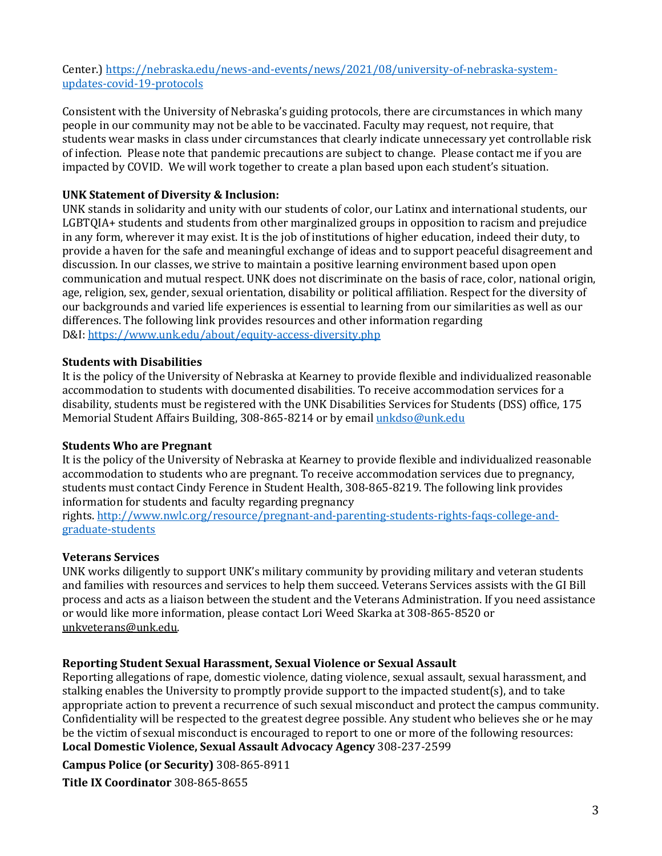Center.) [https://nebraska.edu/news-and-events/news/2021/08/university-of-nebraska-system](https://nebraska.edu/news-and-events/news/2021/08/university-of-nebraska-system-updates-covid-19-protocols)[updates-covid-19-protocols](https://nebraska.edu/news-and-events/news/2021/08/university-of-nebraska-system-updates-covid-19-protocols)

Consistent with the University of Nebraska's guiding protocols, there are circumstances in which many people in our community may not be able to be vaccinated. Faculty may request, not require, that students wear masks in class under circumstances that clearly indicate unnecessary yet controllable risk of infection. Please note that pandemic precautions are subject to change. Please contact me if you are impacted by COVID. We will work together to create a plan based upon each student's situation.

### **UNK Statement of Diversity & Inclusion:**

UNK stands in solidarity and unity with our students of color, our Latinx and international students, our LGBTQIA+ students and students from other marginalized groups in opposition to racism and prejudice in any form, wherever it may exist. It is the job of institutions of higher education, indeed their duty, to provide a haven for the safe and meaningful exchange of ideas and to support peaceful disagreement and discussion. In our classes, we strive to maintain a positive learning environment based upon open communication and mutual respect. UNK does not discriminate on the basis of race, color, national origin, age, religion, sex, gender, sexual orientation, disability or political affiliation. Respect for the diversity of our backgrounds and varied life experiences is essential to learning from our similarities as well as our differences. The following link provides resources and other information regarding D&I: <https://www.unk.edu/about/equity-access-diversity.php>

### **Students with Disabilities**

It is the policy of the University of Nebraska at Kearney to provide flexible and individualized reasonable accommodation to students with documented disabilities. To receive accommodation services for a disability, students must be registered with the UNK Disabilities Services for Students (DSS) office, 175 Memorial Student Affairs Building, 308-865-8214 or by email [unkdso@unk.edu](mailto:unkdso@unk.edu)

#### **Students Who are Pregnant**

It is the policy of the University of Nebraska at Kearney to provide flexible and individualized reasonable accommodation to students who are pregnant. To receive accommodation services due to pregnancy, students must contact Cindy Ference in Student Health, 308-865-8219. The following link provides information for students and faculty regarding pregnancy

rights. [http://www.nwlc.org/resource/pregnant-and-parenting-students-rights-faqs-college-and](https://urldefense.proofpoint.com/v2/url?u=http-3A__www.nwlc.org_resource_pregnant-2Dand-2Dparenting-2Dstudents-2Drights-2Dfaqs-2Dcollege-2Dand-2Dgraduate-2Dstudents&d=DwMFAg&c=Cu5g146wZdoqVuKpTNsYHeFX_rg6kWhlkLF8Eft-wwo&r=BJkIhAaMtWY7PlqIhIOyVw&m=RgBL3s2VNHfvD5ReMK2q_PhwYU8dbEt1vxs1BO4WkpQ&s=MmB91XAzaW-E7UPMXPGx9tWJQbTWJYyYzM8gLjhEzQ0&e=)[graduate-students](https://urldefense.proofpoint.com/v2/url?u=http-3A__www.nwlc.org_resource_pregnant-2Dand-2Dparenting-2Dstudents-2Drights-2Dfaqs-2Dcollege-2Dand-2Dgraduate-2Dstudents&d=DwMFAg&c=Cu5g146wZdoqVuKpTNsYHeFX_rg6kWhlkLF8Eft-wwo&r=BJkIhAaMtWY7PlqIhIOyVw&m=RgBL3s2VNHfvD5ReMK2q_PhwYU8dbEt1vxs1BO4WkpQ&s=MmB91XAzaW-E7UPMXPGx9tWJQbTWJYyYzM8gLjhEzQ0&e=)

#### **Veterans Services**

UNK works diligently to support UNK's military community by providing military and veteran students and families with resources and services to help them succeed. Veterans Services assists with the GI Bill process and acts as a liaison between the student and the Veterans Administration. If you need assistance or would like more information, please contact Lori Weed Skarka at 308-865-8520 or [unkveterans@unk.edu.](mailto:unkveterans@unk.edu)

#### **Reporting Student Sexual Harassment, Sexual Violence or Sexual Assault**

Reporting allegations of rape, domestic violence, dating violence, sexual assault, sexual harassment, and stalking enables the University to promptly provide support to the impacted student(s), and to take appropriate action to prevent a recurrence of such sexual misconduct and protect the campus community. Confidentiality will be respected to the greatest degree possible. Any student who believes she or he may be the victim of sexual misconduct is encouraged to report to one or more of the following resources: **Local Domestic Violence, Sexual Assault Advocacy Agency** 308-237-2599

**Campus Police (or Security)** 308-865-8911

**Title IX Coordinator** 308-865-8655